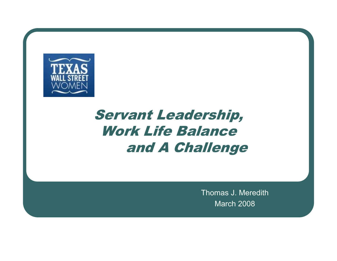

## Servant Leadership, Work Life Balance and A Challenge

Thomas J. Meredith March 2008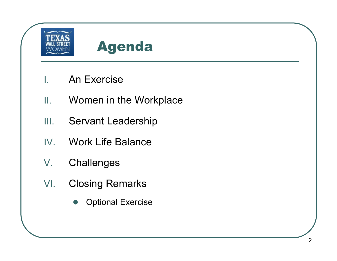

- I.An Exercise
- II.Women in the Workplace
- III.Servant Leadership
- IV.Work Life Balance
- V.**Challenges**
- VI. Closing Remarks
	- $\bullet$ Optional Exercise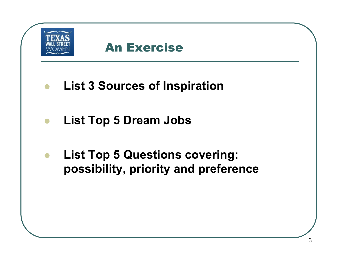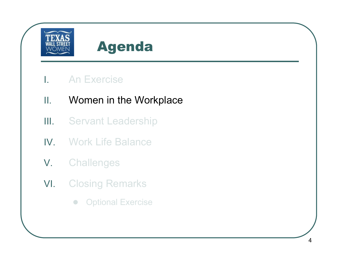

#### I.An Exercise

- II.Women in the Workplace
- III. Servant Leadership
- IV. Work Life Balance
- V. Challenges
- VI. Closing Remarks
	- $\begin{array}{c} \bullet \\ \bullet \end{array}$ **Optional Exercise**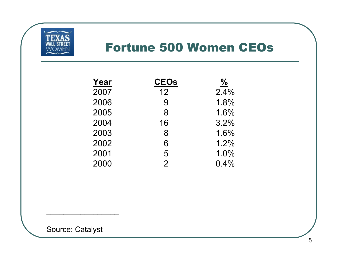

#### Fortune 500 Women CEOs

| Year | <b>CEOs</b>    | ℅    |
|------|----------------|------|
| 2007 | 12             | 2.4% |
| 2006 | 9              | 1.8% |
| 2005 | 8              | 1.6% |
| 2004 | 16             | 3.2% |
| 2003 | 8              | 1.6% |
| 2002 | 6              | 1.2% |
| 2001 | 5              | 1.0% |
| 2000 | $\overline{2}$ | 0.4% |

Source: Catalyst

\_\_\_\_\_\_\_\_\_\_\_\_\_\_\_\_\_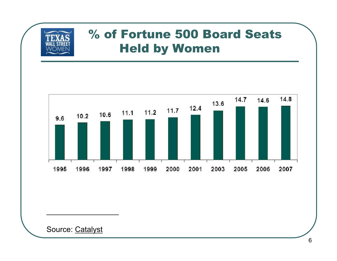

#### % of Fortune 500 Board Seats Held by Women



Source: Catalyst

\_\_\_\_\_\_\_\_\_\_\_\_\_\_\_\_\_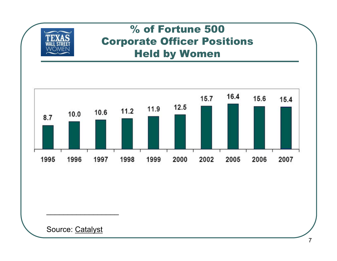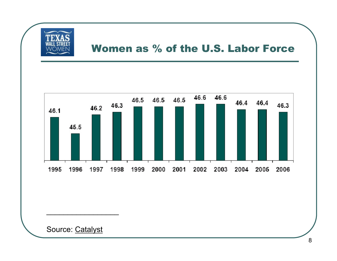

#### Women as % of the U.S. Labor Force



Source: Catalyst

\_\_\_\_\_\_\_\_\_\_\_\_\_\_\_\_\_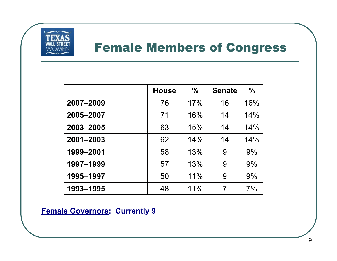

#### Female Members of Congress

|           | <b>House</b> | $\frac{0}{0}$ | <b>Senate</b> | $\frac{0}{0}$ |
|-----------|--------------|---------------|---------------|---------------|
| 2007-2009 | 76           | 17%           | 16            | 16%           |
| 2005-2007 | 71           | 16%           | 14            | 14%           |
| 2003-2005 | 63           | 15%           | 14            | 14%           |
| 2001-2003 | 62           | 14%           | 14            | 14%           |
| 1999-2001 | 58           | 13%           | 9             | 9%            |
| 1997-1999 | 57           | 13%           | 9             | 9%            |
| 1995-1997 | 50           | 11%           | 9             | 9%            |
| 1993-1995 | 48           | 11%           | 7             | $7\%$         |

**Female Governors: Currently 9**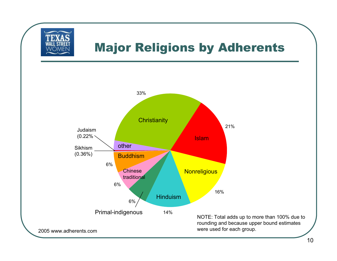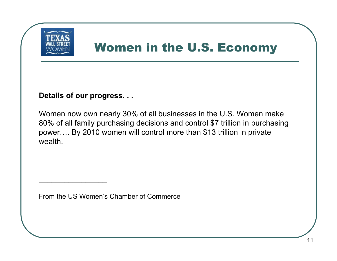

#### Women in the U.S. Economy

**Details of our progress. . .**

 $\blacksquare$ 

Women now own nearly 30% of all businesses in the U.S. Women make 80% of all family purchasing decisions and control \$7 trillion in purchasing power…. By 2010 women will control more than \$13 trillion in private wealth.

From the US Women's Chamber of Commerce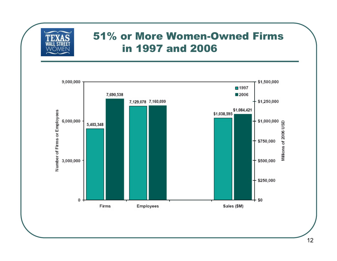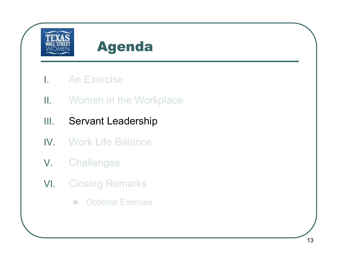![](_page_12_Picture_0.jpeg)

- I.An Exercise
- II. Women in the Workplace
- III.Servant Leadership
- IV. Work Life Balance
- V. Challenges
- VI. Closing Remarks
	- $\begin{array}{c} \bullet \\ \bullet \end{array}$ **Optional Exercise**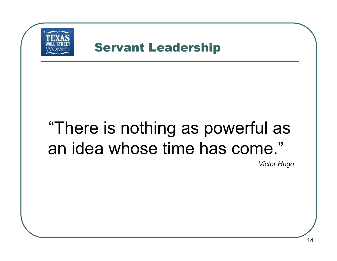![](_page_13_Picture_0.jpeg)

# an idea whose time has come."

*Victor Hugo*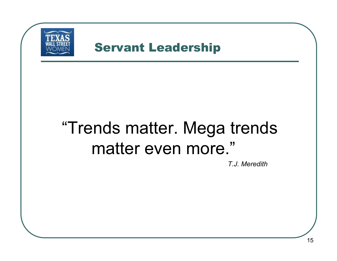![](_page_14_Picture_0.jpeg)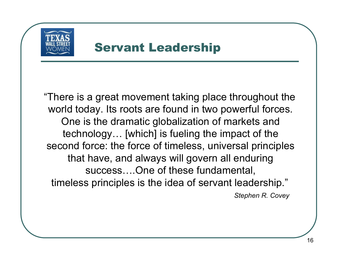![](_page_15_Picture_0.jpeg)

"There is a great movement taking place throughout the world today. Its roots are found in two powerful forces. One is the dramatic globalization of markets and technology… [which] is fueling the impact of the second force: the force of timeless, universal principles that have, and always will govern all enduring success….One of these fundamental, timeless principles is the idea of servant leadership." *Stephen R. Covey*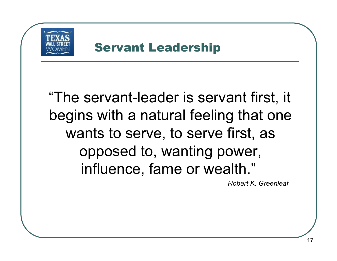![](_page_16_Picture_0.jpeg)

"The servant-leader is servant first, it begins with a natural feeling that one wants to serve, to serve first, as opposed to, wanting power, influence, fame or wealth."

*Robert K. Greenleaf*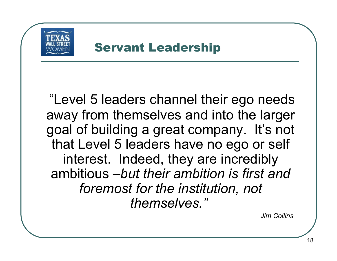![](_page_17_Picture_0.jpeg)

"Level 5 leaders channel their ego needs away from themselves and into the larger goal of building a great company. It's not that Level 5 leaders have no ego or self interest. Indeed, they are incredibly ambitious –*but their ambition is first and foremost for the institution, not themselves."*

*Jim Collins*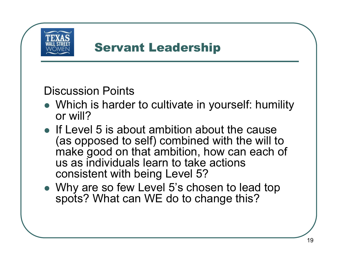![](_page_18_Picture_0.jpeg)

Discussion Points

- Which is harder to cultivate in yourself: humility or will?
- $\bullet$  If Level 5 is about ambition about the cause (as opposed to self) combined with the will to make good on that ambition, how can each of us as individuals learn to take actions consistent with being Level 5?
- Why are so few Level 5's chosen to lead top spots? What can WE do to change this?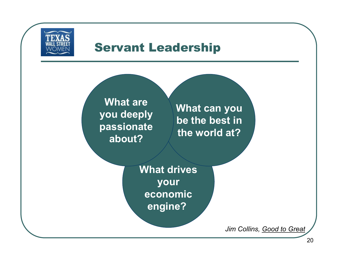![](_page_19_Picture_0.jpeg)

**What are you deeply passionate about?**

**What can you be the best in the world at?**

**What drives your economic engine?**

*Jim Collins, Good to Great*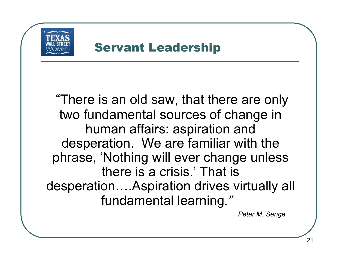![](_page_20_Picture_0.jpeg)

"There is an old saw, that there are only two fundamental sources of change in human affairs: aspiration and desperation. We are familiar with the phrase, 'Nothing will ever change unless there is a crisis.' That is desperation….Aspiration drives virtually all fundamental learning*."*

*Peter M. Senge*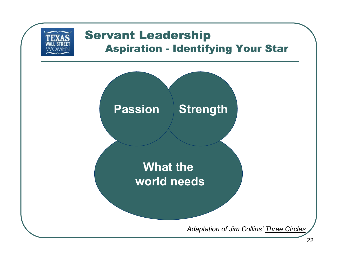![](_page_21_Figure_0.jpeg)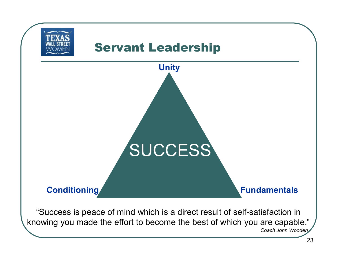![](_page_22_Figure_0.jpeg)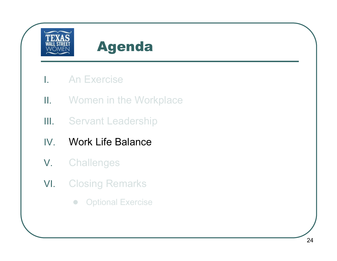![](_page_23_Picture_0.jpeg)

- I.**An Exercise**
- II. Women in the Workplace
- III. Servant Leadership
- IV.Work Life Balance
- V.**Challenges**
- VI. Closing Remarks
	- $\begin{array}{c} \bullet \\ \bullet \end{array}$ **Optional Exercise**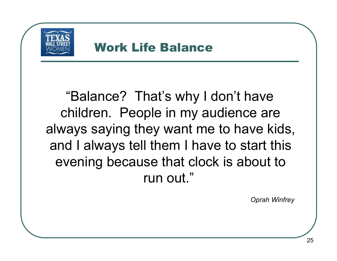![](_page_24_Picture_0.jpeg)

#### Work Life Balance

"Balance? That's why I don't have children. People in my audience are always saying they want me to have kids, and I always tell them I have to start this evening because that clock is about to run out."

*Oprah Winfrey*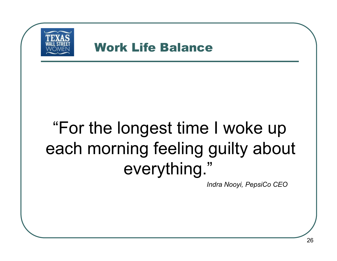![](_page_25_Picture_0.jpeg)

*Indra Nooyi, PepsiCo CEO*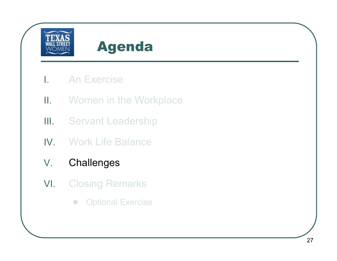![](_page_26_Picture_0.jpeg)

- I.An Exercise
- II. Women in the Workplace
- III. Servant Leadership
- IV. Work Life Balance
- V.**Challenges**
- VI. Closing Remarks
	- $\begin{array}{c} \bullet \\ \bullet \end{array}$ Optional Exercise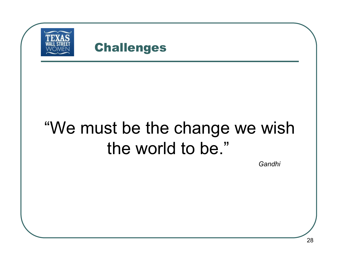![](_page_27_Picture_0.jpeg)

#### Challenges

## "We must be the change we wish the world to be."

*Gandhi*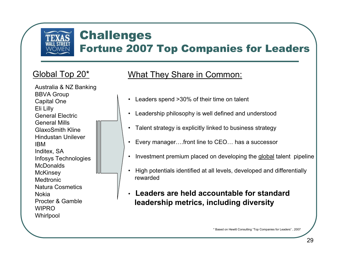![](_page_28_Picture_0.jpeg)

#### Challenges

#### Fortune 2007 Top Companies for Leaders

Australia & NZ Banking BBVA Group Capital One Eli Lilly General ElectricGeneral Mills GlaxoSmith KlineHindustan UnileverIBMInditex, SA Infosys Technologies **McDonalds McKinsey Medtronic** Natura Cosmetics NokiaProcter & Gamble **WIPRO Whirlpool** 

#### Global Top 20<sup>\*</sup> What They Share in Common:

- •Leaders spend >30% of their time on talent
- Leadership philosophy is well defined and understood
- •Talent strategy is explicitly linked to business strategy
- •Every manager….front line to CEO… has a successor
- •Investment premium placed on developing the global talent pipeline
- • High potentials identified at all levels, developed and differentially rewarded
- • **Leaders are held accountable for standardleadership metrics, including diversity**

\* Based on Hewitt Consulting "Top Companies for Leaders" , 2007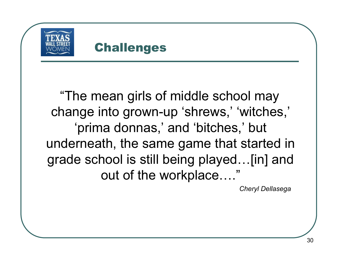![](_page_29_Picture_0.jpeg)

#### **Challenges**

"The mean girls of middle school may change into grown-up 'shrews,' 'witches,' 'prima donnas,' and 'bitches,' but underneath, the same game that started in grade school is still being played…[in] and out of the workplace…."

*Cheryl Dellasega*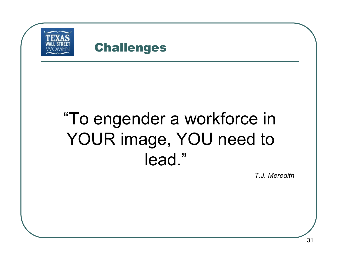![](_page_30_Figure_0.jpeg)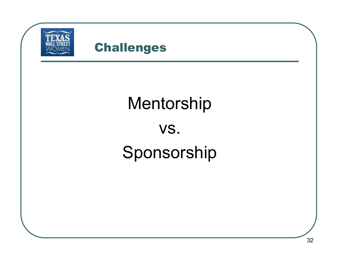![](_page_31_Picture_0.jpeg)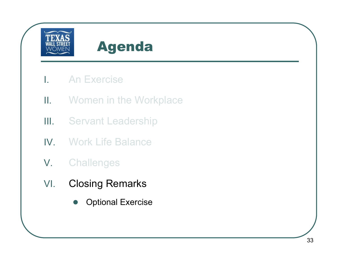![](_page_32_Picture_0.jpeg)

- I. An Exercise
- II. Women in the Workplace
- III. Servant Leadership
- IV. Work Life Balance
- V. Challenges
- VI. Closing Remarks
	- $\bullet$ Optional Exercise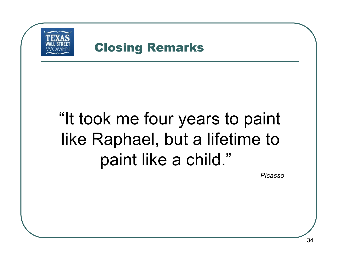![](_page_33_Picture_0.jpeg)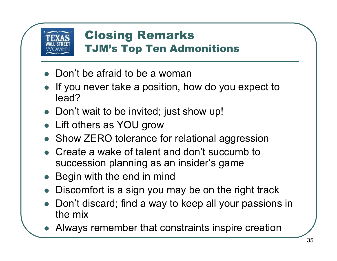![](_page_34_Picture_0.jpeg)

## Closing Remarks

#### TJM's Top Ten Admonitions

- Don't be afraid to be a woman
- $\bullet$  If you never take a position, how do you expect to lead?
- Don't wait to be invited; just show up!
- Lift others as YOU grow
- Show ZERO tolerance for relational aggression
- Create a wake of talent and don't succumb to succession planning as an insider's game
- $\bullet$ Begin with the end in mind
- $\bullet$ Discomfort is a sign you may be on the right track
- $\bullet$  Don't discard; find a way to keep all your passions in the mix
- Always remember that constraints inspire creation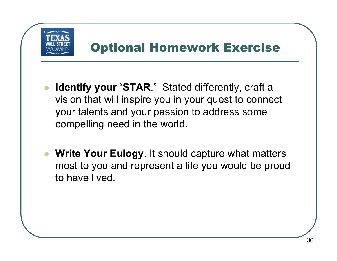![](_page_35_Picture_0.jpeg)

#### Optional Homework Exercise

- $\bullet$  **Identify your** "**STAR**." Stated differently, craft a vision that will inspire you in your quest to connect your talents and your passion to address some compelling need in the world.
- $\bullet$  **Write Your Eulogy**. It should capture what matters most to you and represent a life you would be proud to have lived.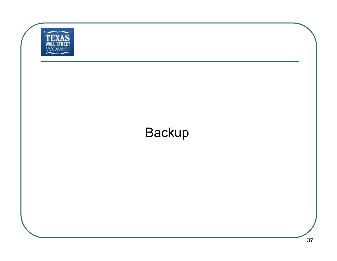![](_page_36_Figure_0.jpeg)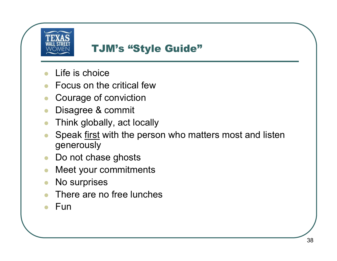![](_page_37_Picture_0.jpeg)

#### TJM's "Style Guide"

- $\bullet$ Life is choice
- $\bullet$ Focus on the critical few
- $\bullet$ Courage of conviction
- $\bullet$ Disagree & commit
- $\bullet$ Think globally, act locally
- $\bullet$ Speak first with the person who matters most and listen generously
- $\bullet$ Do not chase ghosts
- $\bullet$ Meet your commitments
- $\bullet$ No surprises
- $\bullet$ There are no free lunches
- $\bullet$ Fun